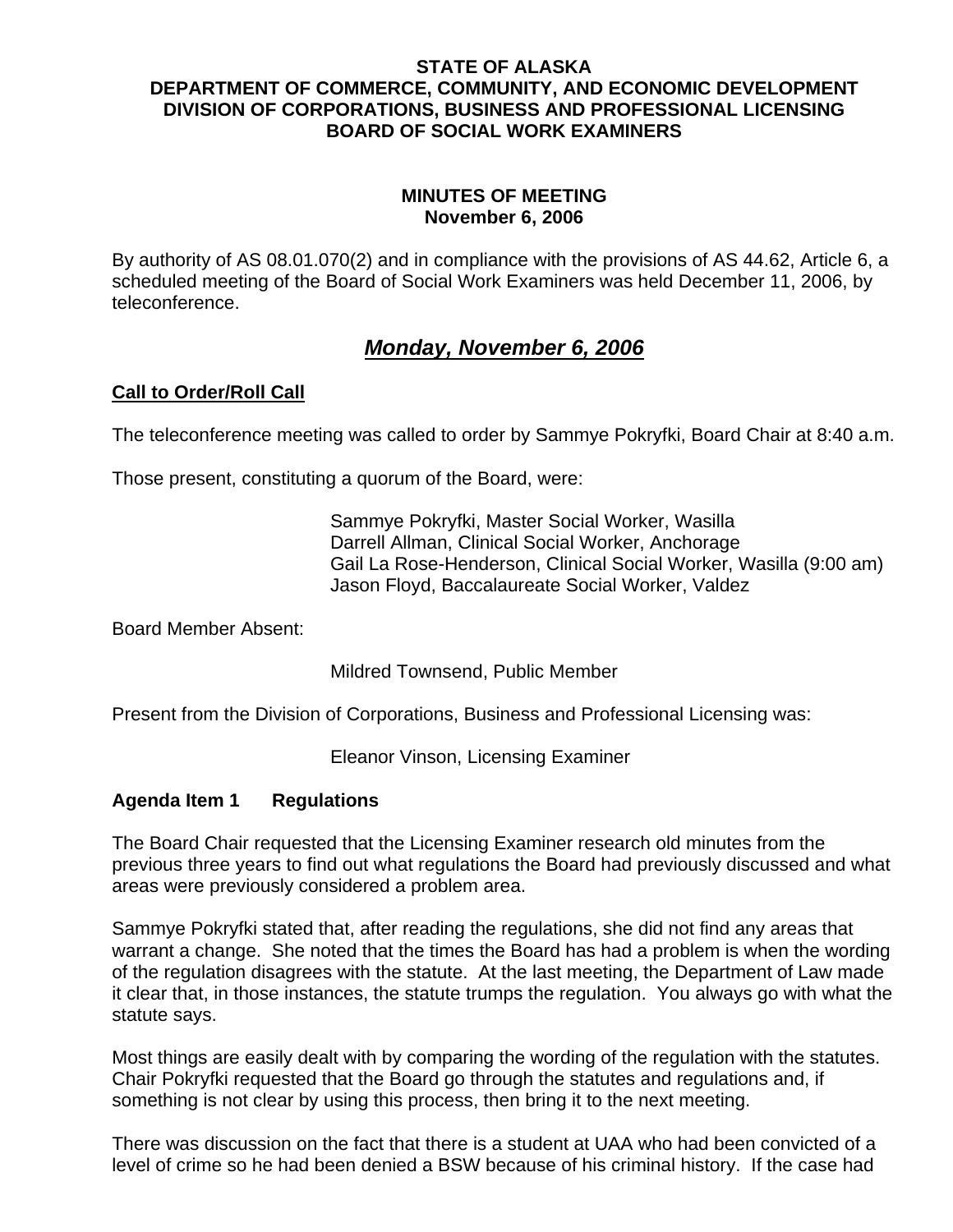#### **STATE OF ALASKA DEPARTMENT OF COMMERCE, COMMUNITY, AND ECONOMIC DEVELOPMENT DIVISION OF CORPORATIONS, BUSINESS AND PROFESSIONAL LICENSING BOARD OF SOCIAL WORK EXAMINERS**

#### **MINUTES OF MEETING November 6, 2006**

By authority of AS 08.01.070(2) and in compliance with the provisions of AS 44.62, Article 6, a scheduled meeting of the Board of Social Work Examiners was held December 11, 2006, by teleconference.

# *Monday, November 6, 2006*

## **Call to Order/Roll Call**

The teleconference meeting was called to order by Sammye Pokryfki, Board Chair at 8:40 a.m.

Those present, constituting a quorum of the Board, were:

Sammye Pokryfki, Master Social Worker, Wasilla Darrell Allman, Clinical Social Worker, Anchorage Gail La Rose-Henderson, Clinical Social Worker, Wasilla (9:00 am) Jason Floyd, Baccalaureate Social Worker, Valdez

Board Member Absent:

Mildred Townsend, Public Member

Present from the Division of Corporations, Business and Professional Licensing was:

Eleanor Vinson, Licensing Examiner

#### **Agenda Item 1 Regulations**

The Board Chair requested that the Licensing Examiner research old minutes from the previous three years to find out what regulations the Board had previously discussed and what areas were previously considered a problem area.

Sammye Pokryfki stated that, after reading the regulations, she did not find any areas that warrant a change. She noted that the times the Board has had a problem is when the wording of the regulation disagrees with the statute. At the last meeting, the Department of Law made it clear that, in those instances, the statute trumps the regulation. You always go with what the statute says.

Most things are easily dealt with by comparing the wording of the regulation with the statutes. Chair Pokryfki requested that the Board go through the statutes and regulations and, if something is not clear by using this process, then bring it to the next meeting.

There was discussion on the fact that there is a student at UAA who had been convicted of a level of crime so he had been denied a BSW because of his criminal history. If the case had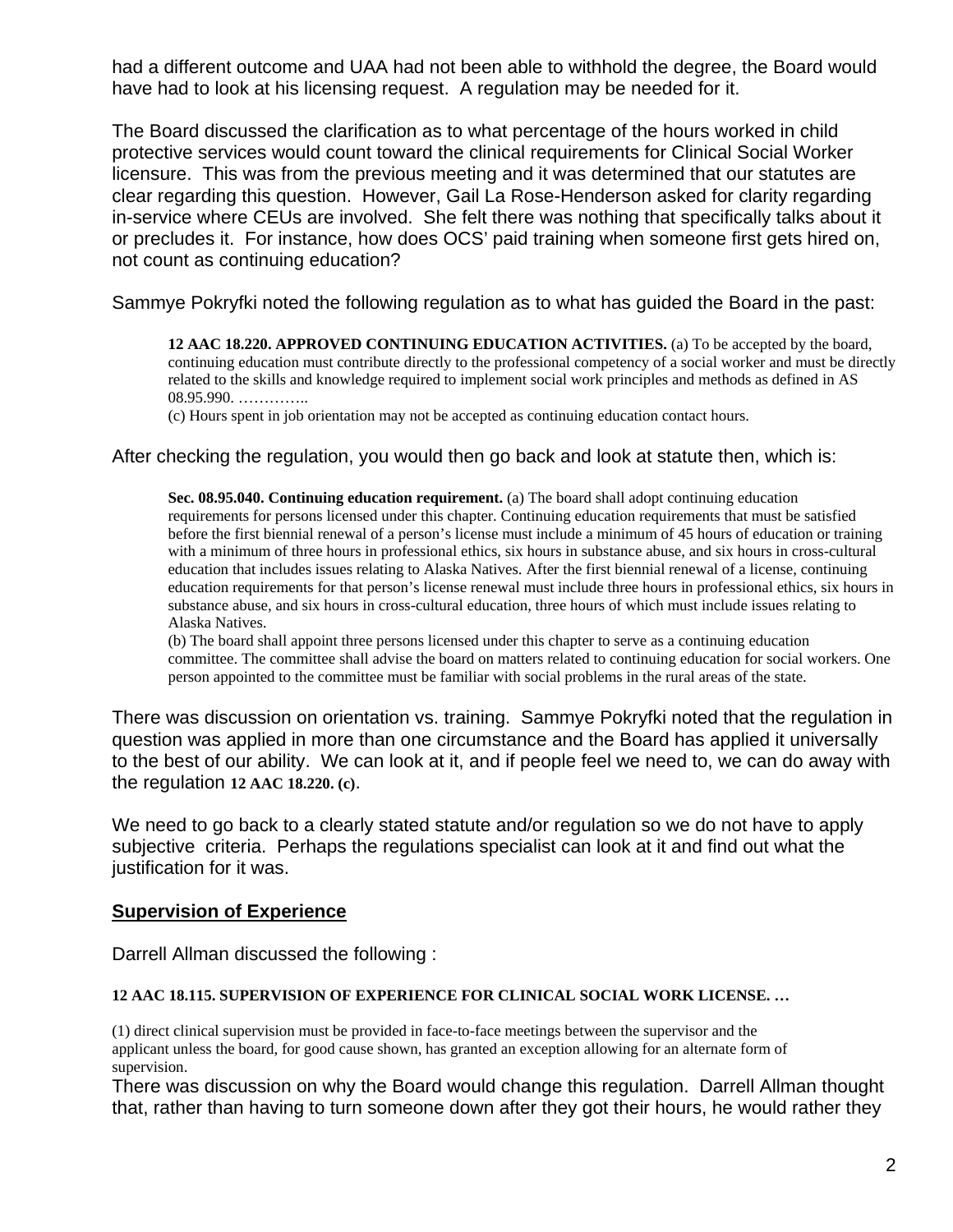had a different outcome and UAA had not been able to withhold the degree, the Board would have had to look at his licensing request. A regulation may be needed for it.

The Board discussed the clarification as to what percentage of the hours worked in child protective services would count toward the clinical requirements for Clinical Social Worker licensure. This was from the previous meeting and it was determined that our statutes are clear regarding this question. However, Gail La Rose-Henderson asked for clarity regarding in-service where CEUs are involved. She felt there was nothing that specifically talks about it or precludes it. For instance, how does OCS' paid training when someone first gets hired on, not count as continuing education?

Sammye Pokryfki noted the following regulation as to what has guided the Board in the past:

**12 AAC 18.220. APPROVED CONTINUING EDUCATION ACTIVITIES.** (a) To be accepted by the board, continuing education must contribute directly to the professional competency of a social worker and must be directly related to the skills and knowledge required to implement social work principles and methods as defined in AS 08.95.990. …………..

(c) Hours spent in job orientation may not be accepted as continuing education contact hours.

#### After checking the regulation, you would then go back and look at statute then, which is:

**Sec. 08.95.040. Continuing education requirement.** (a) The board shall adopt continuing education requirements for persons licensed under this chapter. Continuing education requirements that must be satisfied before the first biennial renewal of a person's license must include a minimum of 45 hours of education or training with a minimum of three hours in professional ethics, six hours in substance abuse, and six hours in cross-cultural education that includes issues relating to Alaska Natives. After the first biennial renewal of a license, continuing education requirements for that person's license renewal must include three hours in professional ethics, six hours in substance abuse, and six hours in cross-cultural education, three hours of which must include issues relating to Alaska Natives.

(b) The board shall appoint three persons licensed under this chapter to serve as a continuing education committee. The committee shall advise the board on matters related to continuing education for social workers. One person appointed to the committee must be familiar with social problems in the rural areas of the state.

There was discussion on orientation vs. training. Sammye Pokryfki noted that the regulation in question was applied in more than one circumstance and the Board has applied it universally to the best of our ability. We can look at it, and if people feel we need to, we can do away with the regulation **12 AAC 18.220. (c)**.

We need to go back to a clearly stated statute and/or regulation so we do not have to apply subjective criteria. Perhaps the regulations specialist can look at it and find out what the justification for it was.

#### **Supervision of Experience**

Darrell Allman discussed the following :

#### **12 AAC 18.115. SUPERVISION OF EXPERIENCE FOR CLINICAL SOCIAL WORK LICENSE. …**

(1) direct clinical supervision must be provided in face-to-face meetings between the supervisor and the applicant unless the board, for good cause shown, has granted an exception allowing for an alternate form of supervision.

There was discussion on why the Board would change this regulation. Darrell Allman thought that, rather than having to turn someone down after they got their hours, he would rather they